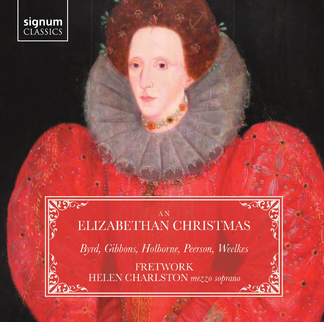

 $\mathfrak{N}$ 

## $AN$ **ELIZABETHAN CHRISTMAS**

Byrd, Gibbons, Holborne, Peerson, Weelkes

**FRETWORK** HELEN CHARLSTON mezzo soprano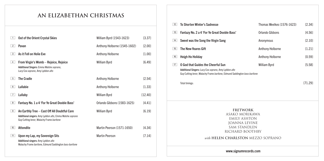## **AN ELIZABETHAN CHRISTMAS**

| 1              | Out of the Orient Crystal Skies                                                                                                                       | William Byrd (1543-1623)     | [3.37]  |
|----------------|-------------------------------------------------------------------------------------------------------------------------------------------------------|------------------------------|---------|
| 2 <sup>1</sup> | Pavan                                                                                                                                                 | Anthony Holborne (1545-1602) | [2.00]  |
| 3              | As it Fell on Holie Eve                                                                                                                               | Anthony Holborne             | [1.00]  |
| 4 <sup>1</sup> | From Virgin's Womb - Rejoice, Rejoice<br>Additional Singers: Emma Walshe soprano,<br>Lucy Cox soprano, Amy Lyddon alto                                | William Byrd                 | [6.49]  |
| 5 <sup>1</sup> | <b>The Cradle</b>                                                                                                                                     | Anthony Holborne             | [2.54]  |
| 6              | Lullabie                                                                                                                                              | Anthony Holborne             | [1.33]  |
| 7              | Lullaby                                                                                                                                               | William Byrd                 | [12.40] |
| 8              | Fantazy No. 1 a 4 'For Ye Great Dooble Bass'                                                                                                          | Orlando Gibbons (1583-1625)  | [4.41]  |
| 9              | An Earthly Tree - Cast Off All Doubtful Care<br>Additional singers: Amy Lyddon alto, Emma Walshe soprano<br>Guy Cutting tenor, Malachy Frame baritone | William Byrd                 | [6.19]  |
| 10             | <b>Attendite</b>                                                                                                                                      | Martin Peerson (1571-1650)   | [4.34]  |
| 11             | Upon my Lap, my Sovereign Sits<br>Additional singers: Amy Lyddon alto<br>Malachy Frame baritone, Edmund Saddington bass-baritone                      | <b>Martin Peerson</b>        | [7.14]  |

| 12                                                   | To Shorten Winter's Sadnesse                                                                                                                                              | Thomas Weelkes (1576-1623) | [2.34]  |  |
|------------------------------------------------------|---------------------------------------------------------------------------------------------------------------------------------------------------------------------------|----------------------------|---------|--|
| 13                                                   | Fantazy No. 2 a 4 'For Ye Great Dooble Bass'                                                                                                                              | Orlando Gibbons            | [4.56]  |  |
| 14                                                   | Sweet was the Song the Virgin Sang                                                                                                                                        | Anonymous                  | [2.10]  |  |
| 15                                                   | The New-Yeares Gift                                                                                                                                                       | Anthony Holborne           | [1.21]  |  |
| 16                                                   | <b>Heigh Ho Holiday</b>                                                                                                                                                   | Anthony Holborne           | [0.59]  |  |
| 17                                                   | O God that Guides the Cheerful Sun<br>Additional Singers: Lucy Cox soprano, Amy Lyddon alto<br>Guy Cutting tenor, Malachy Frame baritone, Edmund Saddington bass-baritone | William Byrd               | [5.58]  |  |
|                                                      | Total timings:                                                                                                                                                            |                            | [71.29] |  |
| <b>FRETWORK</b><br>asako morikawa<br>EMILLY ACLITANI |                                                                                                                                                                           |                            |         |  |

EMILY ASHTON JOANNA LEVINE SAM STANDLEN RICHARD BOOTHBY

*with* **HELEN CHARLSTON** MEZZO SOPRANO

www.signumrecords.com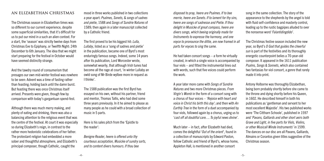#### **An Elizabethan Christmas**

The Christmas season in Elizabethan times was so different to our current experience, despite some superficial similarities, that it's difficult for us to put our mind in a such an alien context. For a start, the 'season' was strictly twelve days from Christmas Eve to Epiphany, or Twelfth Night: 24th December to 6th January. The idea that we might start preparing for the festival in October would have seemed distinctly strange.

And the tawdry round of consumerism that presages our own mid-winter festival was nowhere to be seen: Advent was a time of fasting rather than feasting; holding back until the damn burst. But feasting there was once Christmas itself arrived. Presents were given, though few by comparison with today's gargantuan spend-fest.

Although there was much merry making, and plenty of eating and drinking, there was also a balancing attention to the religious event that was the centre of the festival. At court it was especially so during Elizabeth's reign, in contrast to the rather more hedonistic celebrations of her father. The protestant religion had embedded a more sober and thoughtful atmosphere, and Elizabeth's principal composer, though Catholic, caught the

mood in three works published in two collections a year apart: *Psalmes, Sonets, & songs of sadnes and pietie*, 1588 and *Songs of Sundrie Natures* of 1589; then again in a later manuscript collected by a Catholic friend.

The first proved to be his biggest hit: *Lulla, Lullaby*, listed as a 'song of sadnes and pietie' in the publication, became one of Byrd's most enduringly famous songs. Indeed, some 14 years after its publication, Lord Worcester wrote, somewhat wearily, that although Irish tunes had become all the rage at court, 'in winter Lullaby an owld song of Mr Birde wylbee more in request as I thinke'.

The 1588 publication was the first Byrd has essayed on his own, without his partner, friend and mentor, Thomas Tallis, who had died some three years previously. In it he aimed to please as many people as he could with a broad collection of music in 5 parts.

Here is his sales pitch from the 'Epistle to the reader':

*Benigne Reader, heere is offered unto thy courteous acceptation, Musicke of sundry sorts, and to content divers humours. If thou bee* 

*disposed to pray, heere are Psalmes. If to bee merrie, heere are Sonets. If to lament for thy sins, heere are songs of sadnesse and Pietie. If thou delight in Musicke of great compass, heere are divers songs, which beeing originally made for Instruments to expresse the harmony, and one voyce to pronounce the dittie, are now framed in all parts for voyces to sing the same.*

He had taken consort songs – a form he virtually created, in which a single voice is accompanied by four viols – and fitted the instrumental lines out with words, such that five voices could perform the work.

A year later more came with *Songs of Sundrie Natures* and two more Christmas pieces. *From Virgin's Womb* in the form of a consort song with a chorus of four voices – *'Rejoice with heart and voice in Christ his birth this day'*; and then with *An Earthly Tree* in the form of a duet accompanied by four viols, followed again by a chorus, urging us to '*cast off all doubtful care…. To joyful news divine*'.

Much later – in fact, after Elizabeth had died, comes the delightful '*Out of the orient*', found in a collection of manuscripts by Edward Paston, fellow Catholic and friend of Byrd's, whose home, Appleton Hall, is mentioned in another consort

song in the same collection. The story of the appearance to the shepherds by the angel is told with fluid self-confidence and masterly control, leading up to the rustic bagpipes alluded to over the nonsense word '*Falantidingdido*'.

The Christmas festive season included the new year, so Byrd's *O God that guides the cheerful sun* is part of the festivities and its thoroughly energetic counterpoint belies a 70-year-old composer. It appeared in the 1611 publication *Psalms, Songs & Sonnets*, which also contained two fantasias for viol consort, a genre that rarely made it into print.

Antony Holborne was thoroughly Elizabethan, being born probably shortly before she came to the throne and dying shortly before his Queen, in 1602. He described himself in both his publications as 'gentleman and servant to her most excellent Majestie'. His two published works were 'The Cittharn Schoole', published in 1597 and '*Pavans, Galliards and other short aeirs both Grave and Light, in five parts for Viols, Violins, or other Musicall Winde Instruments*' in 1599. The dances on our disc are all Pavans, Galliards, Almains or Corantos given titles suggestive of the Christmas season.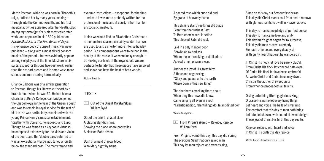Martin Peerson, while he was born in Elizabeth's reign, outlived her by many years, making it through into the Commonwealth, and his first musical activities appeared after her death. *Upon my lap my sovereign sits* is his most celebrated work, and appeared in his 1620 publication *Private Musicke, or The First Booke of Aryes*. His extensive body of consort music was never published – along with almost all viol consort music of the period – but was evidently popular among viol players of the time. Most are in six parts, except for this one five-part work, earlier than the six-part pieces and in some ways more serious and more daring harmonically.

Orlando Gibbons was of a similar generation to Peerson, though his life was cut short by a brain tumour when he was 52. He had been a chorister at King's College, Cambridge, joined the Chapel Royal in the year of the Queen's death and was to remain in royal service for the rest of his life. He was particularly associated with the young Prince Henry's musical establishment, together with Coprario, Ferrabosco and Lupo. Though he was famed as a keyboard virtuoso, he composed extensively for the viols and violins of the court, and the 'dooble bass' referred to was an exceptionally large viol, tuned a fourth below the standard bass. The many tempo and

dynamic instructions – exceptional for the time – indicate it was more probably written for the professional musicians at court, rather than for aristocratic amateurs.

I think we would find an Elizabethan Christmas a rather austere season; certainly colder than we are used to and a shorter, more intense holiday period. But compensations were to be had in the beauty of the music, if we were lucky enough to be kicking our heels at the royal court. We are perhaps fortunate that these pieces have survived and so we can have the best of both worlds.

#### Richard Boothby

#### **TEXTS**

**1** Out of the Orient Crystal Skies William Byrd

Out of the orient, crystal skies A blazing star did shine, Showing the place where poorly lies A blessed Babe divine.

Born of a maid of royal blood Who Mary hight by name,

A sacred rose which once did bud By grace of heavenly flame.

This shining star three kings did guide Even from the furthest East, To Bethlehem where it betide This blessed Babe did rest,

Laid in a silly manger poor, Betwixt an ox and ass, Whom these three kings did all adore As God's high pleasure was.

And for the joy of His great birth A thousand angels sing: "Glory and peace unto the earth Where born is this new King!"

The shepherds dwelling there about, When they this news did know, Came singing all even in a rout, "Falantidingdido, falantidingdido, falantidingdido!"

Words: Anonymous

4 From Virgin's Womb – Rejoice, Rejoice William Byrd

From Virgin's womb this day, this day did spring The precious Seed that only saved man This day let man rejoice and sweetly sing,

Since on this day our Saviour first began This day did Christ man's soul from death remove With glorious saints to dwell in Heaven above.

This day to man came pledge of perfect peace, This day to man came love and unity, This day man's grief began for to surcease, This day did man receive a remedy For each offence and every deadly sin With guilty heart that erst he wandered in.

In Christ His flock let love be surely plac'd, From Christ His flock let concord hate expel, Of Christ His flock let love be so embrac'd As we in Christ and Christ in us may dwell. Christ is the author of sweet unity From whence proceedeth all felicity.

O sing unto this glittering, glorious King, O praise His name let every living thing; Let heart and voice like bells of silver ring The comfort that this day to man doth bring: Let lute, let shawm, with sound of sweet delight These joys of Christ His birth this day recite.

Rejoice, rejoice, with heart and voice, In Christ His birth this day rejoice.

Words: Francis Kinwelmersch, c. 1576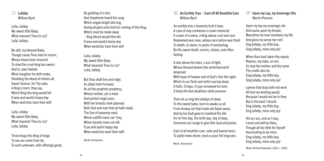#### 7 Lullaby William Byrd

Lulla, lullaby My sweet little Baby, What meanest Thou to cry? Lulla, lullaby

Be still, my blessed Babe, Though cause Thou hast to mourn, Whose blood most innocent To shed the cruel king has sworn; And lo, alas! behold What slaughter he doth make, Shedding the blood of infants all, Sweet Saviour, for Thy sake. A King is born, they say, Which King this king would kill. O woe and woeful heavy day When wretches have their will!

Lulla, lullaby My sweet little Baby, What meanest Thou to cry? Lulla, lullaby

Three kings this King of kings To see are come from far, To each unknown, with offerings great,

By guilding of a star; And shepherds heard the song Which angels bright did sing. Giving all glory unto God for coming of this King, Which must be made away – King Herod would Him kill. O woe and woeful heavy day When wretches have their will!

Lulla, lullaby My sweet little Baby, What meanest Thou to cry? Lulla, lullaby

But thou shalt live and reign, As sibyls hath foresaid, As all the prophets prophesy, Whose mother, yet a maid And perfect virgin pure, With her breasts shall upbread Both God and man that all hath made, The Son of heavenly seed, Whom caitiffs none can 'tray, Whom tyrants none can kill. O joy and joyful happy day When wretches want their will!

Words: Anonymous

9 An Earthly Tree – Cast off All Doubtful Care William Byrd

An earthly tree a heavenly fruit it bear, A case of clay contained a crown immortal A crown of crowns, a King whose cost and care Redeemed poor man, whose race before was thrall To death, to doom, to pains of everlasting, By His sweet death, scorns, stripes, and often fasting.

A star above the stars, a sun of light, Whose blessed beams this wretched earth bespread

With hope of heaven and of God's Son the sight, Which in our flesh and sinful soul lay dead. O faith, O hope, O joys renowned for ever, O lively life that deathless shall persever.

Then let us sing the lullabys of sleep To this sweet babe, born to awake us all From drowsy sin that made old Adam weep, And by his fault gave to mankind the fall. For lo! this day, the birth day, day of days, Summons our songs to give Him laud and praise.

Cast of all doubtful care, exile and banish tears, To joyful news divine, lend us your list'ning ears.

Words: Anyonmous

**T1 Upon my Lap, my Sovereign Sits** Martin Peerson

Upon my lap my sovereign sits And sucks upon my breast; Meantime his love maintains my life And gives my sense her rest. Sing lullaby, my little boy, Sing lullaby, mine only joy!

When thou hast taken thy repast, Repose, my babe, on me; So may thy mother and thy nurse Thy cradle also be. Sing lullaby, my little boy, Sing lullaby, mine only joy!

I grieve that duty doth not work All that my wishing would; Because I would not be to thee But in the best I should. Sing lullaby, my little boy, Sing lullaby, mine only joy!

Yet as I am, and as I may, I must and will be thine, Though all too little for thyself Vouchsafing to be mine. Sing lullaby, my little boy, Sing lullaby, mine only joy!

Words: Richard Rowlands (1565–c. 1630)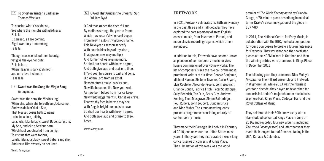**T2 To Shorten Winter's Sadnesse** Thomas Weelkes

To shorten winter's sadness, See where the nymphs with gladness: Fa la la. Disguised, all are coming, Right wantonly a-mumming: Fa la la.

Though masks encloud their beauty, yet give the eye her duty, Fa la la la… When Heav'n is dark it shineth, and unto love inclineth: Fa la la la.

#### **14 Sweet was the Song the Virgin Sang** Anonymous

Sweet was the song the Virgin sung, When she, when she to Bethlem Juda came, And was deliver'd of a Son, That blessed Jesus hath to name. Lulla, lulla, lula, lullaby, Lula, lula, lula, lullaby, sweet Babe, sung she, My Son, and eke a Saviour born, Which hast vouchsafed from on high To visit us that were forlorn; Lalula, lalula, lalulaby, sweet babe, sang she, And rockt Him sweetly on her knee.

#### 17 0 God That Guides the Cheerful Sun William Byrd

O God that guides the cheerful sun By motions strange the year to frame, Which now return'd whence it begun From heav'n extols thy glorious name. This New-year's season sanctify With double blessings of thy store. That graces new may multiply And former follies reign no more. So shall our hearts with heav'n agree, And both give laud and praise to thee. Th'old year by course is past and gone, Old Adam Lord from us expel: New creatures make us ev'ry one, New life becomes the New-year well. As new-born babes from malice keep, New wedding garments O Christ we crave: That we thy face in heav'n may see With Angels bright our souls to save. So shall our hearts with heav'n agree, And both give laud and praise to thee. Amen.

Words: Anonymous

 $-10-$ 

### **FRETWORK**

In 2021, Fretwork celebrates its 35th anniversary. In the past three and a half decades they have explored the core repertory of great English consort music, from Taverner to Purcell, and made classic recordings against which others are judged.

In addition to this, Fretwork have become known as pioneers of contemporary music for viols, having commissioned over 40 new works. The list of composers is like the role call of the most prominent writers of our time: George Benjamin, Michael Nyman, Sir John Tavener, Gavin Bryars, Elvis Costello, Alexander Goehr, John Woolrich, Orlando Gough, Fabrice Fitch, Peter Sculthorpe, Sally Beamish, Tan Dun, Barry Guy, Andrew Keeling, Thea Musgrave, Simon Bainbridge, Poul Ruders, John Joubert, Duncan Druce and Nico Muhly. The group now frequently presents programmes consisting entirely of contemporary music.

They made their Carnegie Hall debut in February of 2010, and now tour the United States most years. In that year, they also curated a week-long concert series of concerts at Kings Place. The culmination of this week was the world

premier of *The World Encompassed* by Orlando Gough, a 70-minute piece describing in musical terms Drake's circumnavigation of the globe in 1577-80.

In 2011, The National Centre for Early Music, in collaboration with the BBC, hosted a competition for young composers to create a four-minute piece for Fretwork. They workshopped the shortlisted pieces at the NCEM in York in October, and then the winning entries were premiered in Kings Place in December 2011.

The following year, they premiered Nico Muhly's *My Days* for The Hilliard Ensemble and Fretwork in Wigmore Hall; while 2013 was their busiest year for a decade: they played no fewer than ten concerts in London's major chamber music halls: Wigmore Hall, Kings Place, Cadogan Hall and the Royal College of Music.

They celebrated their 30th anniversary with a star-studded concert at Kings Place in June of 2016; and recorded four new albums, including *The World Encompassed*, and later that year they made their longest tour of America, taking in the USA, Canada & Colombia.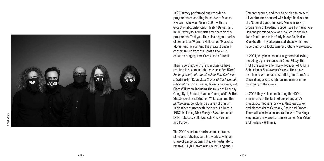

In 2018 they performed and recorded a programme celebrating the music of Michael Nyman – who was 75 in 2019 – with the exceptional counter-tenor, Iestyn Davies; and in 2019 they toured North America with this programme. That year they also began a series of concerts at Wigmore Hall, called 'Musick's Monument', presenting the greatest English consort music from the Golden Age – six concerts ranging from Cornyshe to Purcell.

Their recordings with Signum Classics have resulted in several notable releases: *The World Encompassed, John Jenkins Four Part Fantasies, If* (with Iestyn Davies), *In Chains of Gold: Orlando Gibbons' consort anthems, & The Silken Tent,* with Clare Wilkinson, including the music of Debussy, Grieg, Byrd, Purcell, Nyman, Goehr, Wolf, Britten, Shostakovich and Stephen Wilkinson; and then *In Nomine II*, concluding a survey of English In Nomines started with their debut album in 1987, including Nico Muhly's *Slow* and music by Ferrabosco, Bull, Tye, Baldwin, Parsons and Purcell.

The 2020 pandemic curtailed most groups plans and activities, and Fretwork saw its fair share of cancellations; but it was fortunate to receive £30,000 from Arts Council England's

Emergency fund, and then to be able to present a live-streamed concert with Iestyn Davies from the National Centre for Early Music in York, a programme of Dowland's *Lachrimae* from Wigmore Hall and premier a new work by Led Zeppelin's John Paul Jones in the Early Music Festival in Blackheath. They also pressed ahead with more recording, once lockdown restrictions were eased.

In 2021, they have been at Wigmore Hall twice, including a performance on Good Friday, the first from Wigmore for many decades, of Johann Sebastiani's *St Matthew Passion*. They have also been awarded a substantial grant from Arts Council England to continue and maintain the continuity of their work.

In 2022 they will be celebrating the 400th anniversary of the birth of one of England's greatest composers for viols, Matthew Locke; and plans visits to Germany, Spain and France. There will also be a collaboration with The Kings Singers and new works from Sir James MacMillan and Roderick Williams.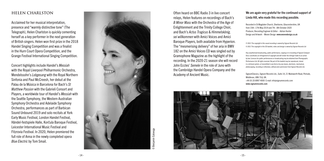#### **HELEN CHARLSTON**

Acclaimed for her musical interpretation, presence and "warmly distinctive tone" (The Telegraph), Helen Charlston is quickly cementing herself as a key performer in the next generation of British singers. Helen won first prize in the 2018 Handel Singing Competition and was a finalist in the Hurn Court Opera Competition, and the Grange Festival International Singing Competition.

Concert highlights include Handel's *Messiah* with the Royal Liverpool Philharmonic Orchestra, Mendelssohn's *Lobgesang* with the Royal Northern Sinfonia and Paul McCreesh, her debut at the Palau de la Música in Barcelona for Bach's *St Matthew Passion* with the Gabrieli Consort and Players, a worldwide tour of Handel's *Messiah* with the Seattle Symphony, the Western Australian Symphony Orchestra and Adelaide Symphony Orchestra, performances as part of Barbican Sound Unbound 2019 and solo recitals at York Early Music Festival, London Handel Festival, Händel-festspiele Halle, Korčula Baroque Festival, Leicester International Music Festival and Fitzrovia Festival. In 2020, Helen premiered the full role of Anna in the newly completed opera *Blue Electric* by Tom Smail.



© Benjamin Ealovega Benjamin Ealovega Often heard on BBC Radio 3 in live concert relays, Helen features on recordings of Bach's *B Minor Mass* with the Orchestra of the Age of Enlightenment and the Trinity College Choir, and Bach's *Actus Tragicus* & *Himmelskönig, sei willkommen* with Amici Voices and Amici Baroque Players, both available from Hyperion. The "mesmerising delivery" of her aria in BWV 182 on the Amici Voices CD was singled out by Gramophone Magazine as the highlight of the recording. In the 2020-21 season she will record John Eccles' *Semele* in the role of Juno with the Cambridge Handel Opera Company and the Academy of Ancient Music.

#### We are again very grateful for the continued support of Linda Hill, who made this recording possible.

Recorded in St Magdalen Church, Sherborne, Gloucestershire, UK from 15th–17th May 2019 and 7th –8th October 2020 Producer, Recording Engineer & Editor – Adrian Hunter Design and Artwork – Woven Design www.wovendesign.co.uk

P 2021 The copyright in this sound recording is owned by Signum Records Ltd © 2021 The copyright in this CD booklet, notes and design is owned by Signum Records Ltd

Any unauthorised broadcasting, public performance, copying or re-recording of Signum Compact Discs constitutes an infringement of copyright and will render the infringer liable to an action by law. Licences for public performances or broadcasting may be obtained from Phonographic Performance Ltd. All rights reserved. No part of this booklet may be reproduced, stored in a retrieval system, or transmitted in any form or by any means, electronic, mechanical, photocopying, recording or otherwise, without prior permission from Signum Records Ltd.

SignumClassics, Signum Records Ltd., Suite 14, 21 Wadsworth Road, Perivale, Middlesex, UB6 7LQ, UK. +44 (0) 20 8997 4000 E-mail: info@signumrecords.com www.signumrecords.com